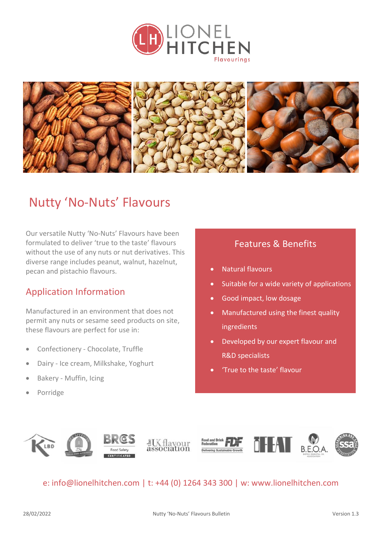



## Nutty 'No-Nuts' Flavours

Our versatile Nutty 'No-Nuts' Flavours have been formulated to deliver 'true to the taste' flavours without the use of any nuts or nut derivatives. This diverse range includes peanut, walnut, hazelnut, pecan and pistachio flavours.

### Application Information

Manufactured in an environment that does not permit any nuts or sesame seed products on site, these flavours are perfect for use in:

- Confectionery Chocolate, Truffle
- Dairy Ice cream, Milkshake, Yoghurt
- Bakery Muffin, Icing
- Porridge

### Features & Benefits

- Natural flavours
- Suitable for a wide variety of applications
- Good impact, low dosage
- Manufactured using the finest quality ingredients
- Developed by our expert flavour and R&D specialists
- 'True to the taste' flavour



#### e: [info@lionelhitchen.com](mailto:info@lionelhitchen.com) | t: +44 (0) 1264 343 300 | w: www.lionelhitchen.com